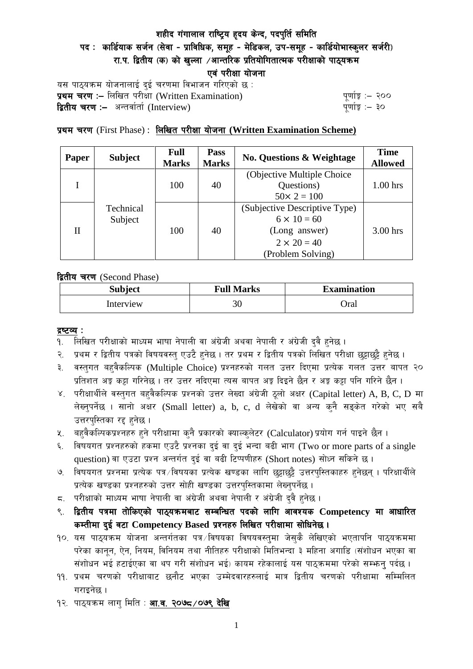# शहीद गंगालाल राष्ट्रिय हृदय केन्द, पदपुर्ति समिति पद: कार्डियाक सर्जन (सेवा - प्राविधिक, समूह - मेडिकल, उप-समूह - कार्डियोभास्कुलर सर्जरी) रा.प. द्वितीय (क) को खुल्ला /आन्तरिक प्रतियोगितात्मक परीक्षाको पाठ्यक्रम एवं परीक्षा योजना

यस पाठ्यक्रम योजनालाई दुई चरणमा विभाजन गरिएको छ : प्रथम चरण :- लिखित परीक्षा (Written Examination)  $\frac{d}{dx}$  and  $\frac{d}{dx}$  and  $\frac{d}{dx}$  are  $\frac{d}{dx}$ **द्वितीय चरण :–** अन्तर्वार्ता (Interview) k and the set of the set of the set of the set of the set of the set o

## प्रथम चरण (First Phase) : लिखित परीक्षा योजना (Written Examination Scheme)

| <b>Paper</b> | <b>Subject</b>       | <b>Full</b><br><b>Marks</b> | <b>Pass</b><br><b>Marks</b> | <b>No. Questions &amp; Weightage</b> | <b>Time</b><br><b>Allowed</b> |
|--------------|----------------------|-----------------------------|-----------------------------|--------------------------------------|-------------------------------|
|              | Technical<br>Subject | 100                         | 40                          | (Objective Multiple Choice)          |                               |
|              |                      |                             |                             | Questions)                           | $1.00$ hrs                    |
|              |                      |                             |                             | $50 \times 2 = 100$                  |                               |
| H            |                      | 100                         | 40                          | (Subjective Descriptive Type)        |                               |
|              |                      |                             |                             | $6 \times 10 = 60$                   |                               |
|              |                      |                             |                             | (Long answer)                        | $3.00$ hrs                    |
|              |                      |                             |                             | $2 \times 20 = 40$                   |                               |
|              |                      |                             |                             | (Problem Solving)                    |                               |

द्वितीय चरण (Second Phase)

| <b>Subject</b> | <b>Full Marks</b> | <b>Examination</b> |  |
|----------------|-------------------|--------------------|--|
| Interview      | 30                | Oral               |  |

#### द्रष्टव्य :

- १. लिखित परीक्षाको माध्यम भाषा नेपाली वा अंग्रेजी अथवा नेपाली र अंग्रेजी द्वै हुनेछ ।
- २. प्रथम र द्वितीय पत्रको विषयवस्तु एउटै हुनेछ । तर प्रथम र द्वितीय पत्रको लिखित परीक्षा छुट्टाछुट्टै हुनेछ ।
- ३. वस्तुगत बहुवैकल्पिक (Multiple Choice) प्रश्नहरुको गलत उत्तर दिएमा प्रत्येक गलत उत्तर बापत २० प्रतिशत अङ्ग कट्टा गरिनेछ । तर उत्तर नदिएमा त्यस बापत अङ्ग दिइने छैन र अङ्ग कट्टा पनि गरिने छैन ।
- ४. परीक्षार्थीले वस्तुगत बहुवैकल्पिक प्रश्नको उत्तर लेख्दा अंग्रेजी ठूलो अक्षर (Capital letter) A, B, C, D मा लेख्नुपर्नेछ । सानो अक्षर (Small letter) a, b, c, d लेखेको वा अन्य कुनै सङ्केत गरेको भए सबै उत्तरपुस्तिका रद्द हनेछ।
- ५. वहवैकल्पिकप्रश्नहरु हुने परीक्षामा कुनै प्रकारको क्याल्कुलेटर (Calculator) प्रयोग गर्न पाइने छैन ।
- ६. विषयगत प्रश्नहरुको हकमा एउटै प्रश्नका दुई वा दुई भन्दा बढी भाग (Two or more parts of a single question) वा एउटा प्रश्न अन्तर्गत दई वा बढी टिप्पणीहरु (Short notes) सोध्न सकिने छ।
- ७. विषयगत प्रश्नमा प्रत्येक पत्र ∕विषयका प्रत्येक खण्डका लागि छट्टाछट्टै उत्तरपस्तिकाहरु हनेछन । परिक्षार्थीले प्रत्येक खण्डका प्रश्नहरुको उत्तर सोही खण्डका उत्तरपस्तिकामा लेख्नपर्नेछ ।
- $\,$ द. परीक्षाको माध्यम भाषा नेपाली वा अंग्रेजी अथवा नेपाली र अंग्रेजी द्वै हुनेछ ।
- ९. द्वितीय पत्रमा तोकिएको पाठ्यक्रमबाट सम्बन्धित पदको लागि आवश्यक Competency मा आधारित कम्तीमा दई वटा Competency Based प्रश्नहरु लिखित परीक्षामा सोधिनेछ।
- $10.$  यस पाठ्यक्रम योजना अन्तर्गतका पत्र विषयका विषयवस्तुमा जेसुकै लेखिएको भएतापनि पाठ्यक्रममा परेका कानून, ऐन, नियम, विनियम तथा नीतिहरु परीक्षाको मितिभन्दा ३ महिना अगाडि (संशोधन भएका वा संशोधन भई हटाईएका वा थप गरी संशोधन भई) कायम रहेकालाई यस पाठ्कममा परेको सम्भन्तु पर्दछ ।
- <u>१</u>१. प्रथम चरणको परीक्षाबाट छनौट भएका उम्मेदवारहरुलाई मात्र द्वितीय चरणको परीक्षामा सम्मिलित गराइनेछ ।
- १२. पाठ्यक्रम लाग् मिति : **आ.व. २०७८ ⁄०७९ देखि**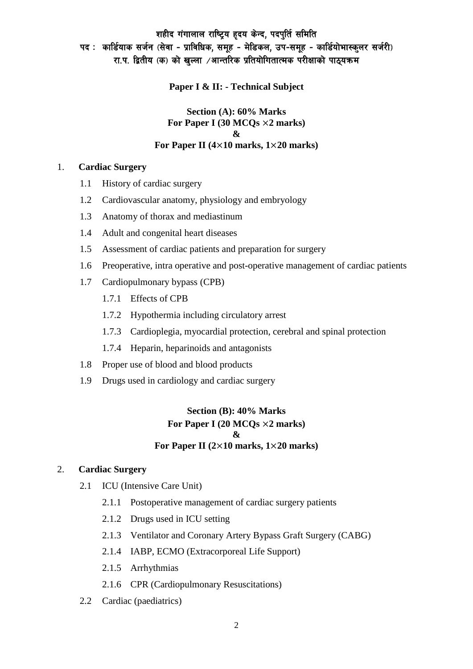# शहीद गंगालाल राष्ट्रिय हृदय केन्द, पदपुर्ति समिति पद: कार्डियाक सर्जन (सेवा - प्राविधिक, समूह - मेडिकल, उप-समूह - कार्डियोभास्कुलर सर्जरी) रा.प. द्वितीय (क) को खुल्ला ⁄आन्तरिक प्रतियोगितात्मक परीक्षाको पाठ्यक्रम

**Paper I & II: - Technical Subject**

#### **Section (A): 60% Marks For Paper I (30 MCQs** ×**2 marks) & For Paper II (4**×**10 marks, 1**×**20 marks)**

#### 1. **Cardiac Surgery**

- 1.1 History of cardiac surgery
- 1.2 Cardiovascular anatomy, physiology and embryology
- 1.3 Anatomy of thorax and mediastinum
- 1.4 Adult and congenital heart diseases
- 1.5 Assessment of cardiac patients and preparation for surgery
- 1.6 Preoperative, intra operative and post-operative management of cardiac patients
- 1.7 Cardiopulmonary bypass (CPB)
	- 1.7.1 Effects of CPB
	- 1.7.2 Hypothermia including circulatory arrest
	- 1.7.3 Cardioplegia, myocardial protection, cerebral and spinal protection
	- 1.7.4 Heparin, heparinoids and antagonists
- 1.8 Proper use of blood and blood products
- 1.9 Drugs used in cardiology and cardiac surgery

### **Section (B): 40% Marks For Paper I (20 MCQs** ×**2 marks) & For Paper II (2**×**10 marks, 1**×**20 marks)**

#### 2. **Cardiac Surgery**

- 2.1 ICU (Intensive Care Unit)
	- 2.1.1 Postoperative management of cardiac surgery patients
	- 2.1.2 Drugs used in ICU setting
	- 2.1.3 Ventilator and Coronary Artery Bypass Graft Surgery (CABG)
	- 2.1.4 IABP, ECMO (Extracorporeal Life Support)
	- 2.1.5 Arrhythmias
	- 2.1.6 CPR (Cardiopulmonary Resuscitations)
- 2.2 Cardiac (paediatrics)